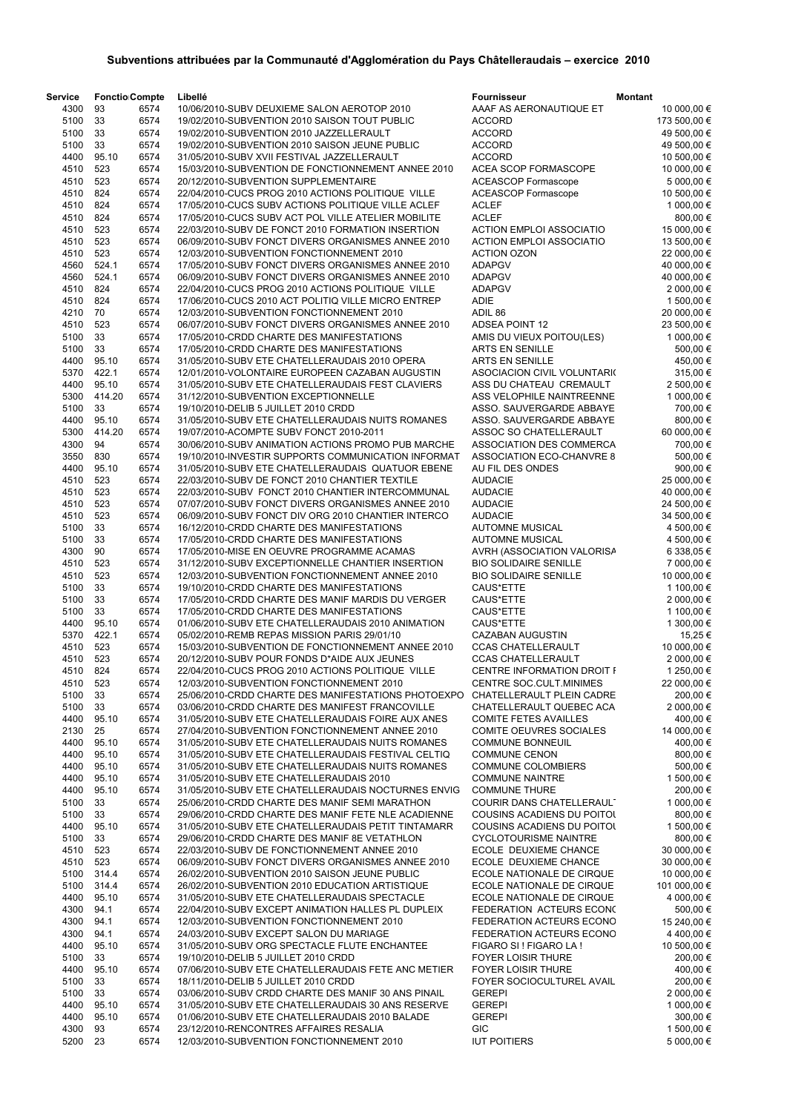| <b>Service</b> | <b>Fonctio Compte</b> |              | Libellé                                                                                                  | <b>Fournisseur</b>                | <b>Montant</b>           |
|----------------|-----------------------|--------------|----------------------------------------------------------------------------------------------------------|-----------------------------------|--------------------------|
| 4300           | 93                    | 6574         | 10/06/2010-SUBV DEUXIEME SALON AEROTOP 2010                                                              | AAAF AS AERONAUTIQUE ET           | 10 000,00 €              |
| 5100           | 33                    | 6574         | 19/02/2010-SUBVENTION 2010 SAISON TOUT PUBLIC                                                            | <b>ACCORD</b>                     | 173 500,00 €             |
| 5100           | 33                    | 6574         | 19/02/2010-SUBVENTION 2010 JAZZELLERAULT                                                                 | <b>ACCORD</b>                     | 49 500,00 €              |
| 5100           | 33                    | 6574         | 19/02/2010-SUBVENTION 2010 SAISON JEUNE PUBLIC                                                           | <b>ACCORD</b>                     | 49 500,00 €              |
| 4400           | 95.10                 | 6574         | 31/05/2010-SUBV XVII FESTIVAL JAZZELLERAULT                                                              | <b>ACCORD</b>                     | 10 500,00 €              |
| 4510           | 523                   | 6574         | 15/03/2010-SUBVENTION DE FONCTIONNEMENT ANNEE 2010                                                       | ACEA SCOP FORMASCOPE              | 10 000,00 €              |
| 4510           | 523                   | 6574         | 20/12/2010-SUBVENTION SUPPLEMENTAIRE                                                                     | <b>ACEASCOP Formascope</b>        | 5 000,00 €               |
| 4510           | 824                   | 6574         | 22/04/2010-CUCS PROG 2010 ACTIONS POLITIQUE VILLE                                                        | <b>ACEASCOP Formascope</b>        | 10 500,00 €              |
| 4510           | 824                   | 6574         | 17/05/2010-CUCS SUBV ACTIONS POLITIQUE VILLE ACLEF                                                       | <b>ACLEF</b>                      | 1 000,00 €               |
| 4510           | 824                   | 6574         | 17/05/2010-CUCS SUBV ACT POL VILLE ATELIER MOBILITE                                                      | <b>ACLEF</b>                      | 800,00 €                 |
| 4510           | 523                   | 6574         | 22/03/2010-SUBV DE FONCT 2010 FORMATION INSERTION                                                        | <b>ACTION EMPLOI ASSOCIATIO</b>   | 15 000,00 €              |
| 4510           | 523                   | 6574         | 06/09/2010-SUBV FONCT DIVERS ORGANISMES ANNEE 2010                                                       | <b>ACTION EMPLOI ASSOCIATIO</b>   | 13 500,00 €              |
| 4510           | 523                   | 6574         | 12/03/2010-SUBVENTION FONCTIONNEMENT 2010                                                                | <b>ACTION OZON</b>                | 22 000,00 €              |
| 4560           | 524.1                 | 6574         | 17/05/2010-SUBV FONCT DIVERS ORGANISMES ANNEE 2010                                                       | <b>ADAPGV</b>                     | 40 000,00 €              |
| 4560           | 524.1                 | 6574         | 06/09/2010-SUBV FONCT DIVERS ORGANISMES ANNEE 2010                                                       | <b>ADAPGV</b>                     | 40 000,00 €              |
| 4510<br>4510   | 824<br>824            | 6574<br>6574 | 22/04/2010-CUCS PROG 2010 ACTIONS POLITIQUE VILLE<br>17/06/2010-CUCS 2010 ACT POLITIQ VILLE MICRO ENTREP | <b>ADAPGV</b><br><b>ADIE</b>      | 2 000,00 €<br>1 500,00 € |
| 4210           | 70                    | 6574         | 12/03/2010-SUBVENTION FONCTIONNEMENT 2010                                                                | ADIL 86                           | 20 000,00 €              |
| 4510           | 523                   | 6574         | 06/07/2010-SUBV FONCT DIVERS ORGANISMES ANNEE 2010                                                       | <b>ADSEA POINT 12</b>             | 23 500,00 €              |
| 5100           | 33                    | 6574         | 17/05/2010-CRDD CHARTE DES MANIFESTATIONS                                                                | AMIS DU VIEUX POITOU(LES)         |                          |
| 5100           | 33                    | 6574         | 17/05/2010-CRDD CHARTE DES MANIFESTATIONS                                                                | <b>ARTS EN SENILLE</b>            | 1 000,00 €<br>500,00€    |
| 4400           | 95.10                 | 6574         | 31/05/2010-SUBV ETE CHATELLERAUDAIS 2010 OPERA                                                           | <b>ARTS EN SENILLE</b>            | 450,00 €                 |
| 5370           | 422.1                 | 6574         | 12/01/2010-VOLONTAIRE EUROPEEN CAZABAN AUGUSTIN                                                          | ASOCIACION CIVIL VOLUNTARI(       | 315,00 €                 |
| 4400           | 95.10                 | 6574         | 31/05/2010-SUBV ETE CHATELLERAUDAIS FEST CLAVIERS                                                        | ASS DU CHATEAU CREMAULT           | 2 500,00 €               |
| 5300           | 414.20                | 6574         | 31/12/2010-SUBVENTION EXCEPTIONNELLE                                                                     | ASS VELOPHILE NAINTREENNE         | 1 000,00 €               |
| 5100           | 33                    | 6574         | 19/10/2010-DELIB 5 JUILLET 2010 CRDD                                                                     | ASSO. SAUVERGARDE ABBAYE          | 700,00 €                 |
| 4400           | 95.10                 | 6574         | 31/05/2010-SUBV ETE CHATELLERAUDAIS NUITS ROMANES                                                        | ASSO. SAUVERGARDE ABBAYE          | 800,00€                  |
| 5300           | 414.20                | 6574         | 19/07/2010-ACOMPTE SUBV FONCT 2010-2011                                                                  | ASSOC SO CHATELLERAULT            | 60 000,00 €              |
| 4300           | 94                    | 6574         | 30/06/2010-SUBV ANIMATION ACTIONS PROMO PUB MARCHE                                                       | ASSOCIATION DES COMMERCA          | 700,00 €                 |
| 3550           | 830                   | 6574         | 19/10/2010-INVESTIR SUPPORTS COMMUNICATION INFORMAT                                                      | ASSOCIATION ECO-CHANVRE 8         | 500,00€                  |
| 4400           | 95.10                 | 6574         | 31/05/2010-SUBV ETE CHATELLERAUDAIS QUATUOR EBENE                                                        | AU FIL DES ONDES                  | 900,00€                  |
| 4510           | 523                   | 6574         | 22/03/2010-SUBV DE FONCT 2010 CHANTIER TEXTILE                                                           | <b>AUDACIE</b>                    | 25 000,00 €              |
| 4510           | 523                   | 6574         | 22/03/2010-SUBV FONCT 2010 CHANTIER INTERCOMMUNAL                                                        | <b>AUDACIE</b>                    | 40 000,00 €              |
| 4510           | 523                   | 6574         | 07/07/2010-SUBV FONCT DIVERS ORGANISMES ANNEE 2010                                                       | <b>AUDACIE</b>                    | 24 500,00 €              |
| 4510           | 523                   | 6574         | 06/09/2010-SUBV FONCT DIV ORG 2010 CHANTIER INTERCO                                                      | <b>AUDACIE</b>                    | 34 500,00 €              |
| 5100           | 33                    | 6574         | 16/12/2010-CRDD CHARTE DES MANIFESTATIONS                                                                | <b>AUTOMNE MUSICAL</b>            | 4 500,00 €               |
| 5100           | 33                    | 6574         | 17/05/2010-CRDD CHARTE DES MANIFESTATIONS                                                                | <b>AUTOMNE MUSICAL</b>            | 4 500,00 €               |
| 4300           | 90                    | 6574         | 17/05/2010-MISE EN OEUVRE PROGRAMME ACAMAS                                                               | AVRH (ASSOCIATION VALORISA        | 6 338,05 €               |
| 4510           | 523                   | 6574         | 31/12/2010-SUBV EXCEPTIONNELLE CHANTIER INSERTION                                                        | <b>BIO SOLIDAIRE SENILLE</b>      | 7 000,00 €               |
| 4510           | 523                   | 6574         | 12/03/2010-SUBVENTION FONCTIONNEMENT ANNEE 2010                                                          | <b>BIO SOLIDAIRE SENILLE</b>      | 10 000,00 €              |
| 5100           | 33                    | 6574         | 19/10/2010-CRDD CHARTE DES MANIFESTATIONS                                                                | CAUS*ETTE                         | 1 100,00 €               |
| 5100           | 33                    | 6574         | 17/05/2010-CRDD CHARTE DES MANIF MARDIS DU VERGER                                                        | CAUS*ETTE                         | 2 000,00 €               |
| 5100           | 33                    | 6574         | 17/05/2010-CRDD CHARTE DES MANIFESTATIONS                                                                | CAUS*ETTE                         | 1 100,00 €               |
| 4400           | 95.10                 | 6574         | 01/06/2010-SUBV ETE CHATELLERAUDAIS 2010 ANIMATION                                                       | CAUS*ETTE                         | 1 300,00 €               |
| 5370           | 422.1                 | 6574         | 05/02/2010-REMB REPAS MISSION PARIS 29/01/10                                                             | CAZABAN AUGUSTIN                  | 15,25 €                  |
| 4510           | 523                   | 6574         | 15/03/2010-SUBVENTION DE FONCTIONNEMENT ANNEE 2010                                                       | <b>CCAS CHATELLERAULT</b>         | 10 000,00 €              |
| 4510           | 523                   | 6574         | 20/12/2010-SUBV POUR FONDS D*AIDE AUX JEUNES                                                             | <b>CCAS CHATELLERAULT</b>         | 2 000,00 €               |
| 4510           | 824                   | 6574         | 22/04/2010-CUCS PROG 2010 ACTIONS POLITIQUE VILLE                                                        | CENTRE INFORMATION DROIT F        | 1 250,00 €               |
| 4510           | 523                   | 6574         | 12/03/2010-SUBVENTION FONCTIONNEMENT 2010                                                                | CENTRE SOC.CULT.MINIMES           | 22 000,00 €              |
| 5100           | 33                    | 6574         | 25/06/2010-CRDD CHARTE DES MANIFESTATIONS PHOTOEXPO                                                      | CHATELLERAULT PLEIN CADRE         | 200,00€                  |
| 5100           | 33                    | 6574         | 03/06/2010-CRDD CHARTE DES MANIFEST FRANCOVILLE                                                          | CHATELLERAULT QUEBEC ACA          | 2 000,00 €               |
| 4400           | 95.10                 | 6574         | 31/05/2010-SUBV ETE CHATELLERAUDAIS FOIRE AUX ANES                                                       | <b>COMITE FETES AVAILLES</b>      | 400,00 €                 |
| 2130           | 25                    | 6574         | 27/04/2010-SUBVENTION FONCTIONNEMENT ANNEE 2010                                                          | <b>COMITE OEUVRES SOCIALES</b>    | 14 000,00 €              |
| 4400           | 95.10                 | 6574         | 31/05/2010-SUBV ETE CHATELLERAUDAIS NUITS ROMANES                                                        | <b>COMMUNE BONNEUIL</b>           | 400,00€                  |
| 4400           | 95.10                 | 6574         | 31/05/2010-SUBV ETE CHATELLERAUDAIS FESTIVAL CELTIQ                                                      | <b>COMMUNE CENON</b>              | 800,00 €                 |
| 4400           | 95.10                 | 6574         | 31/05/2010-SUBV ETE CHATELLERAUDAIS NUITS ROMANES                                                        | <b>COMMUNE COLOMBIERS</b>         | 500,00€                  |
| 4400           | 95.10                 | 6574         | 31/05/2010-SUBV ETE CHATELLERAUDAIS 2010                                                                 | <b>COMMUNE NAINTRE</b>            | 1 500,00 €               |
| 4400           | 95.10                 | 6574         | 31/05/2010-SUBV ETE CHATELLERAUDAIS NOCTURNES ENVIG                                                      | <b>COMMUNE THURE</b>              | 200,00€                  |
| 5100           | 33                    | 6574         | 25/06/2010-CRDD CHARTE DES MANIF SEMI MARATHON                                                           | COURIR DANS CHATELLERAULT         | 1 000,00 €               |
| 5100           | 33                    | 6574         | 29/06/2010-CRDD CHARTE DES MANIF FETE NLE ACADIENNE                                                      | <b>COUSINS ACADIENS DU POITOL</b> | 800,00€                  |
| 4400           | 95.10                 | 6574         | 31/05/2010-SUBV ETE CHATELLERAUDAIS PETIT TINTAMARR                                                      | <b>COUSINS ACADIENS DU POITOL</b> | 1 500,00 €               |
| 5100           | 33                    | 6574         | 29/06/2010-CRDD CHARTE DES MANIF 8E VETATHLON                                                            | <b>CYCLOTOURISME NAINTRE</b>      | 800,00 €                 |
| 4510           | 523                   | 6574         | 22/03/2010-SUBV DE FONCTIONNEMENT ANNEE 2010                                                             | ECOLE DEUXIEME CHANCE             | 30 000,00 €              |
| 4510           | 523                   | 6574         | 06/09/2010-SUBV FONCT DIVERS ORGANISMES ANNEE 2010                                                       | ECOLE DEUXIEME CHANCE             | 30 000,00 €              |
| 5100           | 314.4                 | 6574         | 26/02/2010-SUBVENTION 2010 SAISON JEUNE PUBLIC                                                           | ECOLE NATIONALE DE CIRQUE         | 10 000,00 €              |
| 5100           | 314.4                 | 6574         | 26/02/2010-SUBVENTION 2010 EDUCATION ARTISTIQUE                                                          | ECOLE NATIONALE DE CIRQUE         | 101 000,00 €             |
| 4400           | 95.10                 | 6574         | 31/05/2010-SUBV ETE CHATELLERAUDAIS SPECTACLE                                                            | ECOLE NATIONALE DE CIRQUE         | 4 000,00 €               |
| 4300           | 94.1                  | 6574         | 22/04/2010-SUBV EXCEPT ANIMATION HALLES PL DUPLEIX                                                       | FEDERATION ACTEURS ECONC          | 500,00€                  |
| 4300           | 94.1                  | 6574         | 12/03/2010-SUBVENTION FONCTIONNEMENT 2010                                                                | FEDERATION ACTEURS ECONO          | 15 240,00 €              |
| 4300           | 94.1                  | 6574         | 24/03/2010-SUBV EXCEPT SALON DU MARIAGE                                                                  | FEDERATION ACTEURS ECONO          | 4 400,00 €               |
| 4400           | 95.10                 | 6574         | 31/05/2010-SUBV ORG SPECTACLE FLUTE ENCHANTEE                                                            | FIGARO SI ! FIGARO LA !           | 10 500,00 €              |
| 5100           | 33                    | 6574         | 19/10/2010-DELIB 5 JUILLET 2010 CRDD                                                                     | <b>FOYER LOISIR THURE</b>         | 200,00 €                 |
| 4400           | 95.10                 | 6574         | 07/06/2010-SUBV ETE CHATELLERAUDAIS FETE ANC METIER                                                      | <b>FOYER LOISIR THURE</b>         | 400,00 €                 |
| 5100           | 33                    | 6574         | 18/11/2010-DELIB 5 JUILLET 2010 CRDD                                                                     | FOYER SOCIOCULTUREL AVAIL         | 200,00 €                 |
| 5100           | 33                    | 6574         | 03/06/2010-SUBV CRDD CHARTE DES MANIF 30 ANS PINAIL                                                      | <b>GEREPI</b>                     | 2 000,00 €               |
| 4400           | 95.10                 | 6574         | 31/05/2010-SUBV ETE CHATELLERAUDAIS 30 ANS RESERVE                                                       | <b>GEREPI</b>                     | 1 000,00 €               |
| 4400           | 95.10                 | 6574         | 01/06/2010-SUBV ETE CHATELLERAUDAIS 2010 BALADE                                                          | <b>GEREPI</b>                     | 300,00 €                 |
| 4300           | 93                    | 6574         | 23/12/2010-RENCONTRES AFFAIRES RESALIA                                                                   | <b>GIC</b>                        | 1 500,00 €               |
| 5200           | 23                    | 6574         | 12/03/2010-SUBVENTION FONCTIONNEMENT 2010                                                                | <b>IUT POITIERS</b>               | 5 000,00 €               |